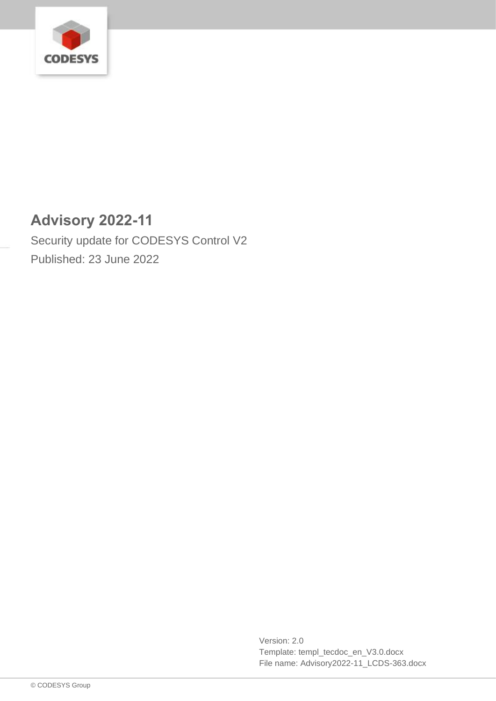

# **Advisory 2022-11**

Security update for CODESYS Control V2 Published: 23 June 2022

> Version: 2.0 Template: templ\_tecdoc\_en\_V3.0.docx File name: Advisory2022-11\_LCDS-363.docx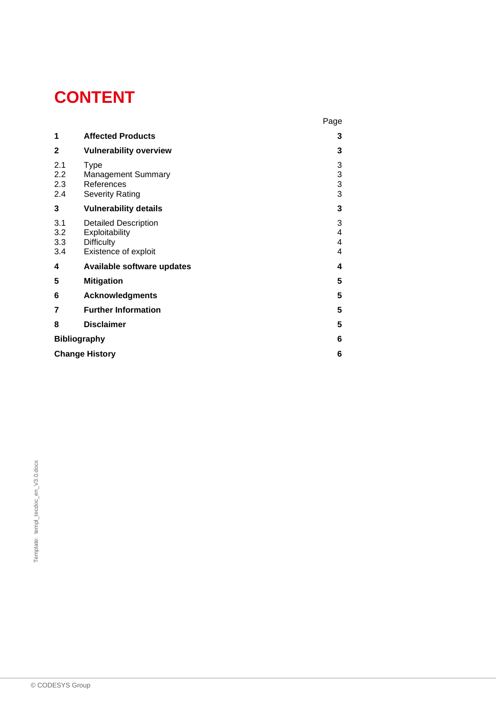# **CONTENT**

|                          |                                                                                            | Page                    |
|--------------------------|--------------------------------------------------------------------------------------------|-------------------------|
| 1                        | <b>Affected Products</b>                                                                   | 3                       |
| $\mathbf{2}$             | <b>Vulnerability overview</b>                                                              | 3                       |
| 2.1<br>2.2<br>2.3<br>2.4 | <b>Type</b><br><b>Management Summary</b><br>References<br><b>Severity Rating</b>           | 3<br>3<br>$\frac{3}{3}$ |
| 3                        | <b>Vulnerability details</b>                                                               | 3                       |
| 3.1<br>3.2<br>3.3<br>3.4 | <b>Detailed Description</b><br>Exploitability<br><b>Difficulty</b><br>Existence of exploit | 3<br>4<br>4<br>4        |
| 4                        | Available software updates                                                                 | 4                       |
| 5                        | <b>Mitigation</b>                                                                          | 5                       |
| 6                        | <b>Acknowledgments</b>                                                                     | 5                       |
| 7                        | <b>Further Information</b>                                                                 | 5                       |
| 8                        | <b>Disclaimer</b>                                                                          | 5                       |
| <b>Bibliography</b>      |                                                                                            | 6                       |
| <b>Change History</b>    |                                                                                            |                         |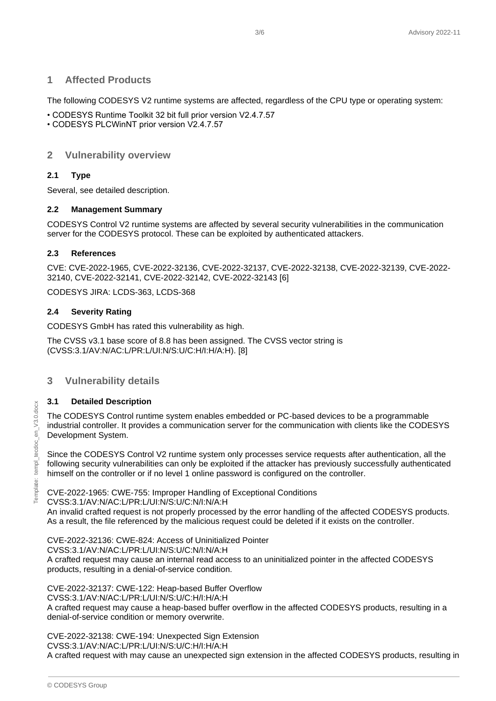# <span id="page-2-0"></span>**1 Affected Products**

The following CODESYS V2 runtime systems are affected, regardless of the CPU type or operating system:

- CODESYS Runtime Toolkit 32 bit full prior version V2.4.7.57
- <span id="page-2-1"></span>• CODESYS PLCWinNT prior version V2.4.7.57

# **2 Vulnerability overview**

#### <span id="page-2-2"></span>**2.1 Type**

Several, see detailed description.

#### <span id="page-2-3"></span>**2.2 Management Summary**

CODESYS Control V2 runtime systems are affected by several security vulnerabilities in the communication server for the CODESYS protocol. These can be exploited by authenticated attackers.

#### <span id="page-2-4"></span>**2.3 References**

CVE: CVE-2022-1965, CVE-2022-32136, CVE-2022-32137, CVE-2022-32138, CVE-2022-32139, CVE-2022- 32140, CVE-2022-32141, CVE-2022-32142, CVE-2022-32143 [6]

CODESYS JIRA: LCDS-363, LCDS-368

#### <span id="page-2-5"></span>**2.4 Severity Rating**

CODESYS GmbH has rated this vulnerability as high.

The CVSS v3.1 base score of 8.8 has been assigned. The CVSS vector string is (CVSS:3.1/AV:N/AC:L/PR:L/UI:N/S:U/C:H/I:H/A:H). [8]

#### <span id="page-2-6"></span>**3 Vulnerability details**

#### <span id="page-2-7"></span>**3.1 Detailed Description**

The CODESYS Control runtime system enables embedded or PC-based devices to be a programmable industrial controller. It provides a communication server for the communication with clients like the CODESYS Development System.

Since the CODESYS Control V2 runtime system only processes service requests after authentication, all the following security vulnerabilities can only be exploited if the attacker has previously successfully authenticated himself on the controller or if no level 1 online password is configured on the controller.

CVE-2022-1965: CWE-755: Improper Handling of Exceptional Conditions

CVSS:3.1/AV:N/AC:L/PR:L/UI:N/S:U/C:N/I:N/A:H

An invalid crafted request is not properly processed by the error handling of the affected CODESYS products. As a result, the file referenced by the malicious request could be deleted if it exists on the controller.

CVE-2022-32136: CWE-824: Access of Uninitialized Pointer CVSS:3.1/AV:N/AC:L/PR:L/UI:N/S:U/C:N/I:N/A:H A crafted request may cause an internal read access to an uninitialized pointer in the affected CODESYS products, resulting in a denial-of-service condition.

CVE-2022-32137: CWE-122: Heap-based Buffer Overflow CVSS:3.1/AV:N/AC:L/PR:L/UI:N/S:U/C:H/I:H/A:H A crafted request may cause a heap-based buffer overflow in the affected CODESYS products, resulting in a denial-of-service condition or memory overwrite.

CVE-2022-32138: CWE-194: Unexpected Sign Extension CVSS:3.1/AV:N/AC:L/PR:L/UI:N/S:U/C:H/I:H/A:H

A crafted request with may cause an unexpected sign extension in the affected CODESYS products, resulting in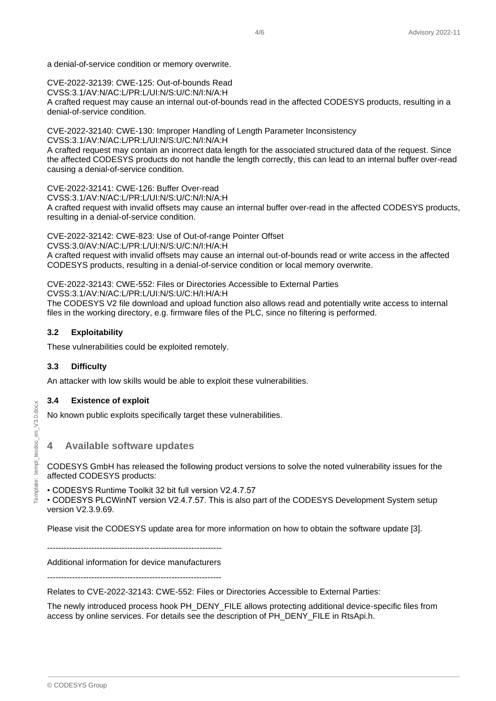a denial-of-service condition or memory overwrite.

CVE-2022-32139: CWE-125: Out-of-bounds Read CVSS:3.1/AV:N/AC:L/PR:L/UI:N/S:U/C:N/I:N/A:H A crafted request may cause an internal out-of-bounds read in the affected CODESYS products, resulting in a denial-of-service condition.

CVE-2022-32140: CWE-130: Improper Handling of Length Parameter Inconsistency CVSS:3.1/AV:N/AC:L/PR:L/UI:N/S:U/C:N/I:N/A:H A crafted request may contain an incorrect data length for the associated structured data of the request. Since

the affected CODESYS products do not handle the length correctly, this can lead to an internal buffer over-read causing a denial-of-service condition.

CVE-2022-32141: CWE-126: Buffer Over-read CVSS:3.1/AV:N/AC:L/PR:L/UI:N/S:U/C:N/I:N/A:H A crafted request with invalid offsets may cause an internal buffer over-read in the affected CODESYS products, resulting in a denial-of-service condition.

CVE-2022-32142: CWE-823: Use of Out-of-range Pointer Offset

CVSS:3.0/AV:N/AC:L/PR:L/UI:N/S:U/C:N/I:H/A:H A crafted request with invalid offsets may cause an internal out-of-bounds read or write access in the affected CODESYS products, resulting in a denial-of-service condition or local memory overwrite.

CVE-2022-32143: CWE-552: Files or Directories Accessible to External Parties

CVSS:3.1/AV:N/AC:L/PR:L/UI:N/S:U/C:H/I:H/A:H

The CODESYS V2 file download and upload function also allows read and potentially write access to internal files in the working directory, e.g. firmware files of the PLC, since no filtering is performed.

#### <span id="page-3-0"></span>**3.2 Exploitability**

These vulnerabilities could be exploited remotely.

#### <span id="page-3-1"></span>**3.3 Difficulty**

An attacker with low skills would be able to exploit these vulnerabilities.

#### <span id="page-3-2"></span>**3.4 Existence of exploit**

<span id="page-3-3"></span>No known public exploits specifically target these vulnerabilities.

#### **4 Available software updates**

CODESYS GmbH has released the following product versions to solve the noted vulnerability issues for the affected CODESYS products:

• CODESYS Runtime Toolkit 32 bit full version V2.4.7.57

• CODESYS PLCWinNT version V2.4.7.57. This is also part of the CODESYS Development System setup version V2.3.9.69.

Please visit the CODESYS update area for more information on how to obtain the software update [3].

---------------------------------------------------------------

Additional information for device manufacturers

---------------------------------------------------------------

Relates to CVE-2022-32143: CWE-552: Files or Directories Accessible to External Parties:

The newly introduced process hook PH\_DENY\_FILE allows protecting additional device-specific files from access by online services. For details see the description of PH\_DENY\_FILE in RtsApi.h.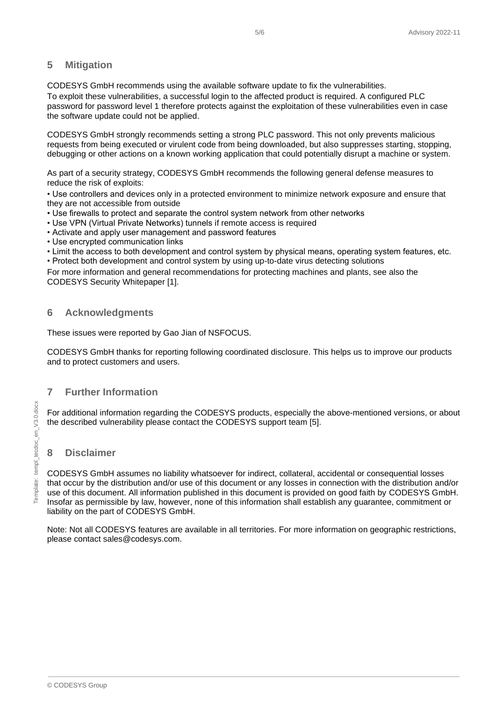#### <span id="page-4-0"></span>**5 Mitigation**

CODESYS GmbH recommends using the available software update to fix the vulnerabilities.

To exploit these vulnerabilities, a successful login to the affected product is required. A configured PLC password for password level 1 therefore protects against the exploitation of these vulnerabilities even in case the software update could not be applied.

CODESYS GmbH strongly recommends setting a strong PLC password. This not only prevents malicious requests from being executed or virulent code from being downloaded, but also suppresses starting, stopping, debugging or other actions on a known working application that could potentially disrupt a machine or system.

As part of a security strategy, CODESYS GmbH recommends the following general defense measures to reduce the risk of exploits:

• Use controllers and devices only in a protected environment to minimize network exposure and ensure that they are not accessible from outside

- Use firewalls to protect and separate the control system network from other networks
- Use VPN (Virtual Private Networks) tunnels if remote access is required
- Activate and apply user management and password features
- Use encrypted communication links
- Limit the access to both development and control system by physical means, operating system features, etc.

• Protect both development and control system by using up-to-date virus detecting solutions

For more information and general recommendations for protecting machines and plants, see also the CODESYS Security Whitepaper [1].

#### <span id="page-4-1"></span>**6 Acknowledgments**

These issues were reported by Gao Jian of NSFOCUS.

CODESYS GmbH thanks for reporting following coordinated disclosure. This helps us to improve our products and to protect customers and users.

#### <span id="page-4-2"></span>**7 Further Information**

For additional information regarding the CODESYS products, especially the above-mentioned versions, or about the described vulnerability please contact the CODESYS support team [5].

#### <span id="page-4-3"></span>**8 Disclaimer**

CODESYS GmbH assumes no liability whatsoever for indirect, collateral, accidental or consequential losses that occur by the distribution and/or use of this document or any losses in connection with the distribution and/or use of this document. All information published in this document is provided on good faith by CODESYS GmbH. Insofar as permissible by law, however, none of this information shall establish any guarantee, commitment or liability on the part of CODESYS GmbH.

Note: Not all CODESYS features are available in all territories. For more information on geographic restrictions, please contact sales@codesys.com.